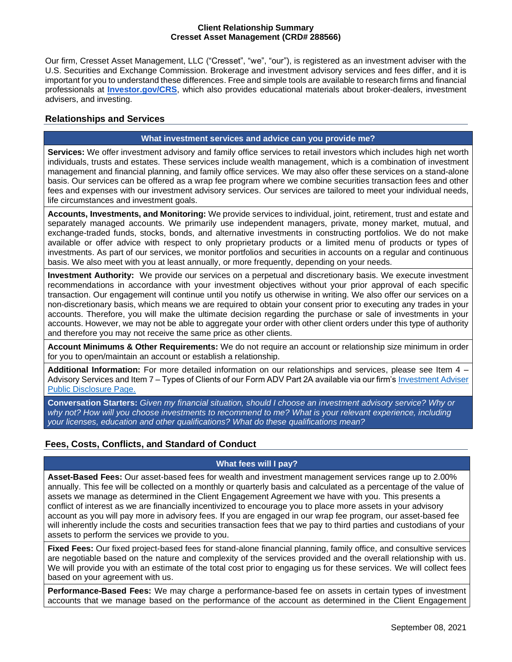#### **Client Relationship Summary Cresset Asset Management (CRD# 288566)**

Our firm, Cresset Asset Management, LLC ("Cresset", "we", "our"), is registered as an investment adviser with the U.S. Securities and Exchange Commission. Brokerage and investment advisory services and fees differ, and it is important for you to understand these differences. Free and simple tools are available to research firms and financial professionals at **[Investor.gov/CRS](http://investor.gov/CRS)**, which also provides educational materials about broker-dealers, investment advisers, and investing.

# **Relationships and Services**

## **What investment services and advice can you provide me?**

**Services:** We offer investment advisory and family office services to retail investors which includes high net worth individuals, trusts and estates. These services include wealth management, which is a combination of investment management and financial planning, and family office services. We may also offer these services on a stand-alone basis. Our services can be offered as a wrap fee program where we combine securities transaction fees and other fees and expenses with our investment advisory services. Our services are tailored to meet your individual needs, life circumstances and investment goals.

**Accounts, Investments, and Monitoring:** We provide services to individual, joint, retirement, trust and estate and separately managed accounts. We primarily use independent managers, private, money market, mutual, and exchange-traded funds, stocks, bonds, and alternative investments in constructing portfolios. We do not make available or offer advice with respect to only proprietary products or a limited menu of products or types of investments. As part of our services, we monitor portfolios and securities in accounts on a regular and continuous basis. We also meet with you at least annually, or more frequently, depending on your needs.

**Investment Authority:** We provide our services on a perpetual and discretionary basis. We execute investment recommendations in accordance with your investment objectives without your prior approval of each specific transaction. Our engagement will continue until you notify us otherwise in writing. We also offer our services on a non-discretionary basis, which means we are required to obtain your consent prior to executing any trades in your accounts. Therefore, you will make the ultimate decision regarding the purchase or sale of investments in your accounts. However, we may not be able to aggregate your order with other client orders under this type of authority and therefore you may not receive the same price as other clients.

**Account Minimums & Other Requirements:** We do not require an account or relationship size minimum in order for you to open/maintain an account or establish a relationship.

**Additional Information:** For more detailed information on our relationships and services, please see Item 4 – Advisory Services and Item 7 – Types of Clients of our Form ADV Part 2A available via our firm's [Investment](https://adviserinfo.sec.gov/firm/summary/288566) Adviser [Public Disclosure Page.](https://adviserinfo.sec.gov/firm/summary/288566)

**Conversation Starters:** *Given my financial situation, should I choose an investment advisory service? Why or why not? How will you choose investments to recommend to me? What is your relevant experience, including your licenses, education and other qualifications? What do these qualifications mean?*

# **Fees, Costs, Conflicts, and Standard of Conduct**

### **What fees will I pay?**

**Asset-Based Fees:** Our asset-based fees for wealth and investment management services range up to 2.00% annually. This fee will be collected on a monthly or quarterly basis and calculated as a percentage of the value of assets we manage as determined in the Client Engagement Agreement we have with you. This presents a conflict of interest as we are financially incentivized to encourage you to place more assets in your advisory account as you will pay more in advisory fees. If you are engaged in our wrap fee program, our asset-based fee will inherently include the costs and securities transaction fees that we pay to third parties and custodians of your assets to perform the services we provide to you.

**Fixed Fees:** Our fixed project-based fees for stand-alone financial planning, family office, and consultive services are negotiable based on the nature and complexity of the services provided and the overall relationship with us. We will provide you with an estimate of the total cost prior to engaging us for these services. We will collect fees based on your agreement with us.

**Performance-Based Fees:** We may charge a performance-based fee on assets in certain types of investment accounts that we manage based on the performance of the account as determined in the Client Engagement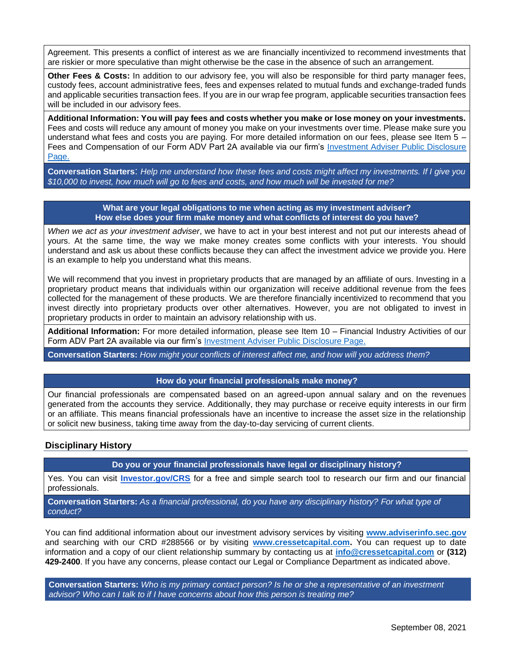Agreement. This presents a conflict of interest as we are financially incentivized to recommend investments that are riskier or more speculative than might otherwise be the case in the absence of such an arrangement.

**Other Fees & Costs:** In addition to our advisory fee, you will also be responsible for third party manager fees, custody fees, account administrative fees, fees and expenses related to mutual funds and exchange-traded funds and applicable securities transaction fees. If you are in our wrap fee program, applicable securities transaction fees will be included in our advisory fees.

**Additional Information: You will pay fees and costs whether you make or lose money on your investments.** Fees and costs will reduce any amount of money you make on your investments over time. Please make sure you understand what fees and costs you are paying. For more detailed information on our fees, please see Item 5 – Fees and Compensation of our Form ADV Part 2A available via our firm's Investment Adviser Public Disclosure [Page.](https://adviserinfo.sec.gov/firm/summary/288566)

**Conversation Starters**: *Help me understand how these fees and costs might affect my investments. If I give you \$10,000 to invest, how much will go to fees and costs, and how much will be invested for me?*

#### **What are your legal obligations to me when acting as my investment adviser? How else does your firm make money and what conflicts of interest do you have?**

*When we act as your investment adviser*, we have to act in your best interest and not put our interests ahead of yours. At the same time, the way we make money creates some conflicts with your interests. You should understand and ask us about these conflicts because they can affect the investment advice we provide you. Here is an example to help you understand what this means.

We will recommend that you invest in proprietary products that are managed by an affiliate of ours. Investing in a proprietary product means that individuals within our organization will receive additional revenue from the fees collected for the management of these products. We are therefore financially incentivized to recommend that you invest directly into proprietary products over other alternatives. However, you are not obligated to invest in proprietary products in order to maintain an advisory relationship with us.

**Additional Information:** For more detailed information, please see Item 10 – Financial Industry Activities of our Form ADV Part 2A available via our firm's [Investment Adviser Public Disclosure Page.](https://adviserinfo.sec.gov/firm/summary/288566)

**Conversation Starters:** *How might your conflicts of interest affect me, and how will you address them?*

### **How do your financial professionals make money?**

Our financial professionals are compensated based on an agreed-upon annual salary and on the revenues generated from the accounts they service. Additionally, they may purchase or receive equity interests in our firm or an affiliate. This means financial professionals have an incentive to increase the asset size in the relationship or solicit new business, taking time away from the day-to-day servicing of current clients.

### **Disciplinary History**

**Do you or your financial professionals have legal or disciplinary history?**

Yes. You can visit **[Investor.gov/CRS](http://investor.gov/CRS)** for a free and simple search tool to research our firm and our financial professionals.

**Conversation Starters:** *As a financial professional, do you have any disciplinary history? For what type of conduct?*

You can find additional information about our investment advisory services by visiting **[www.adviserinfo.sec.gov](http://www.adviserinfo.sec.gov/)** and searching with our CRD #288566 or by visiting **[www.cressetcapital.com.](http://www.cressetcapital.com/)** You can request up to date information and a copy of our client relationship summary by contacting us at **[info@cressetcapital.com](mailto:info@cressetcapital.com)** or **(312) 429-2400**. If you have any concerns, please contact our Legal or Compliance Department as indicated above.

**Conversation Starters:** *Who is my primary contact person? Is he or she a representative of an investment advisor? Who can I talk to if I have concerns about how this person is treating me?*